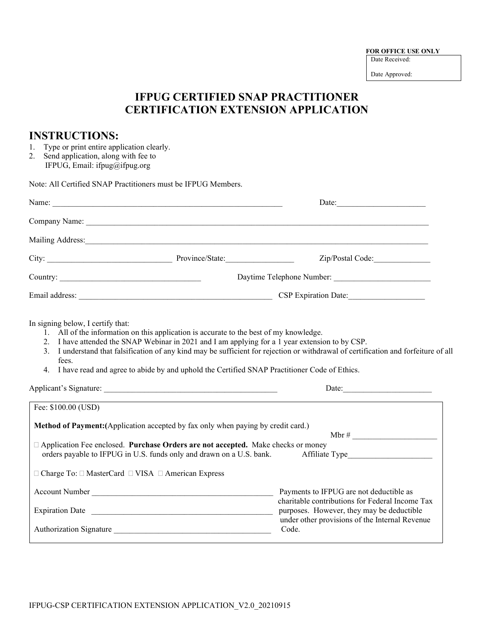**FOR OFFICE USE ONLY** Date Received:

Date Approved:

## **IFPUG CERTIFIED SNAP PRACTITIONER CERTIFICATION EXTENSION APPLICATION**

## **INSTRUCTIONS:**

- 1. Type or print entire application clearly.
- 2. Send application, along with fee to IFPUG, Email: ifpug@ifpug.org

Note: All Certified SNAP Practitioners must be IFPUG Members.

|                                                     | Name:                                                                                                                                                                                                                                                                                        | Date: $\qquad \qquad$                                                                                                                                                                                                          |  |
|-----------------------------------------------------|----------------------------------------------------------------------------------------------------------------------------------------------------------------------------------------------------------------------------------------------------------------------------------------------|--------------------------------------------------------------------------------------------------------------------------------------------------------------------------------------------------------------------------------|--|
|                                                     |                                                                                                                                                                                                                                                                                              |                                                                                                                                                                                                                                |  |
|                                                     |                                                                                                                                                                                                                                                                                              | Mailing Address: 1988 Mailing Address: 1988 Mailing Address: 1988 Mailing Address: 1988 Mailing Address: 1988 Mailing Address: 1988 Mailing Address: 1988 Mailing Address: 1988 Mailing Address: 1988 Mailing Address: 1988 Ma |  |
|                                                     |                                                                                                                                                                                                                                                                                              |                                                                                                                                                                                                                                |  |
|                                                     |                                                                                                                                                                                                                                                                                              |                                                                                                                                                                                                                                |  |
|                                                     |                                                                                                                                                                                                                                                                                              |                                                                                                                                                                                                                                |  |
| In signing below, I certify that:<br>fees.          | 1. All of the information on this application is accurate to the best of my knowledge.<br>2. I have attended the SNAP Webinar in 2021 and I am applying for a 1 year extension to by CSP.<br>4. I have read and agree to abide by and uphold the Certified SNAP Practitioner Code of Ethics. | 3. I understand that falsification of any kind may be sufficient for rejection or withdrawal of certification and forfeiture of all                                                                                            |  |
|                                                     |                                                                                                                                                                                                                                                                                              | Date:                                                                                                                                                                                                                          |  |
| Fee: \$100.00 (USD)                                 |                                                                                                                                                                                                                                                                                              |                                                                                                                                                                                                                                |  |
|                                                     | <b>Method of Payment:</b> (Application accepted by fax only when paying by credit card.)<br>□ Application Fee enclosed. Purchase Orders are not accepted. Make checks or money<br>orders payable to IFPUG in U.S. funds only and drawn on a U.S. bank.                                       | Affiliate Type                                                                                                                                                                                                                 |  |
| □ Charge To: □ MasterCard □ VISA □ American Express |                                                                                                                                                                                                                                                                                              |                                                                                                                                                                                                                                |  |
|                                                     | Account Number                                                                                                                                                                                                                                                                               | Payments to IFPUG are not deductible as<br>charitable contributions for Federal Income Tax<br>purposes. However, they may be deductible<br>under other provisions of the Internal Revenue                                      |  |
|                                                     | Authorization Signature                                                                                                                                                                                                                                                                      | Code.                                                                                                                                                                                                                          |  |